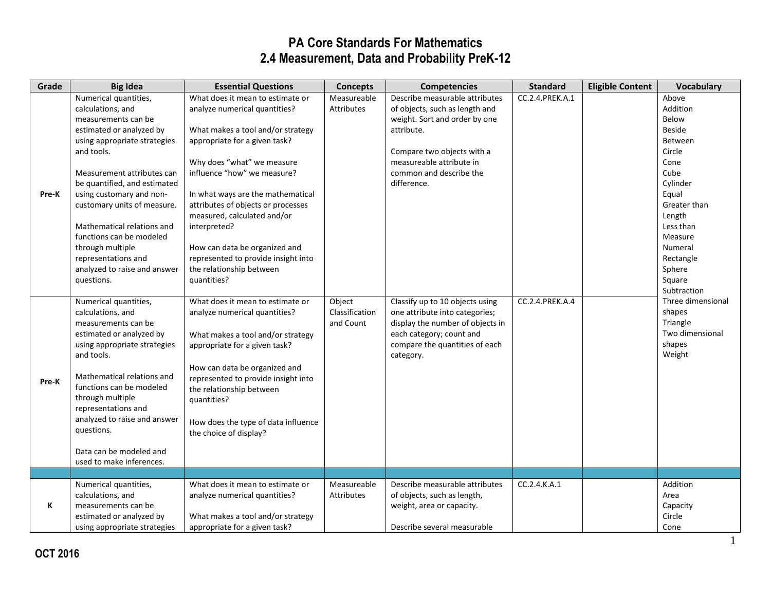| Grade | <b>Big Idea</b>                                                                                                                                                                                                                                                                                                                                                                                                         | <b>Essential Questions</b>                                                                                                                                                                                                                                                                                                                                                                                                                        | <b>Concepts</b>                       | <b>Competencies</b>                                                                                                                                                                                                 | <b>Standard</b> | <b>Eligible Content</b> | <b>Vocabulary</b>                                                                                                                                                                                                  |
|-------|-------------------------------------------------------------------------------------------------------------------------------------------------------------------------------------------------------------------------------------------------------------------------------------------------------------------------------------------------------------------------------------------------------------------------|---------------------------------------------------------------------------------------------------------------------------------------------------------------------------------------------------------------------------------------------------------------------------------------------------------------------------------------------------------------------------------------------------------------------------------------------------|---------------------------------------|---------------------------------------------------------------------------------------------------------------------------------------------------------------------------------------------------------------------|-----------------|-------------------------|--------------------------------------------------------------------------------------------------------------------------------------------------------------------------------------------------------------------|
| Pre-K | Numerical quantities,<br>calculations, and<br>measurements can be<br>estimated or analyzed by<br>using appropriate strategies<br>and tools.<br>Measurement attributes can<br>be quantified, and estimated<br>using customary and non-<br>customary units of measure.<br>Mathematical relations and<br>functions can be modeled<br>through multiple<br>representations and<br>analyzed to raise and answer<br>questions. | What does it mean to estimate or<br>analyze numerical quantities?<br>What makes a tool and/or strategy<br>appropriate for a given task?<br>Why does "what" we measure<br>influence "how" we measure?<br>In what ways are the mathematical<br>attributes of objects or processes<br>measured, calculated and/or<br>interpreted?<br>How can data be organized and<br>represented to provide insight into<br>the relationship between<br>quantities? | Measureable<br>Attributes             | Describe measurable attributes<br>of objects, such as length and<br>weight. Sort and order by one<br>attribute.<br>Compare two objects with a<br>measureable attribute in<br>common and describe the<br>difference. | CC.2.4.PREK.A.1 |                         | Above<br>Addition<br>Below<br><b>Beside</b><br>Between<br>Circle<br>Cone<br>Cube<br>Cylinder<br>Equal<br>Greater than<br>Length<br>Less than<br>Measure<br>Numeral<br>Rectangle<br>Sphere<br>Square<br>Subtraction |
| Pre-K | Numerical quantities,<br>calculations, and<br>measurements can be<br>estimated or analyzed by<br>using appropriate strategies<br>and tools.<br>Mathematical relations and<br>functions can be modeled<br>through multiple<br>representations and<br>analyzed to raise and answer<br>questions.<br>Data can be modeled and<br>used to make inferences.                                                                   | What does it mean to estimate or<br>analyze numerical quantities?<br>What makes a tool and/or strategy<br>appropriate for a given task?<br>How can data be organized and<br>represented to provide insight into<br>the relationship between<br>quantities?<br>How does the type of data influence<br>the choice of display?                                                                                                                       | Object<br>Classification<br>and Count | Classify up to 10 objects using<br>one attribute into categories;<br>display the number of objects in<br>each category; count and<br>compare the quantities of each<br>category.                                    | CC.2.4.PREK.A.4 |                         | Three dimensional<br>shapes<br>Triangle<br>Two dimensional<br>shapes<br>Weight                                                                                                                                     |
|       |                                                                                                                                                                                                                                                                                                                                                                                                                         |                                                                                                                                                                                                                                                                                                                                                                                                                                                   |                                       |                                                                                                                                                                                                                     |                 |                         |                                                                                                                                                                                                                    |
| K     | Numerical quantities,<br>calculations, and<br>measurements can be<br>estimated or analyzed by<br>using appropriate strategies                                                                                                                                                                                                                                                                                           | What does it mean to estimate or<br>analyze numerical quantities?<br>What makes a tool and/or strategy<br>appropriate for a given task?                                                                                                                                                                                                                                                                                                           | Measureable<br>Attributes             | Describe measurable attributes<br>of objects, such as length,<br>weight, area or capacity.<br>Describe several measurable                                                                                           | CC.2.4.K.A.1    |                         | Addition<br>Area<br>Capacity<br>Circle<br>Cone                                                                                                                                                                     |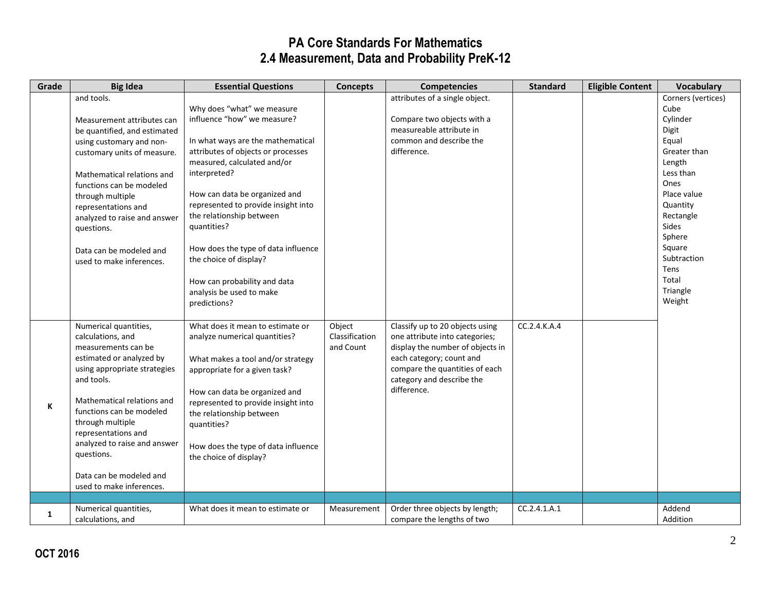| Grade | <b>Big Idea</b>                                                                                                                                                                                                                                                                                                                                       | <b>Essential Questions</b>                                                                                                                                                                                                                                                                                                                                                                                                                          | <b>Concepts</b>                       | <b>Competencies</b>                                                                                                                                                                                             | <b>Standard</b> | <b>Eligible Content</b> | Vocabulary                                                                                                                                                                                                                                |
|-------|-------------------------------------------------------------------------------------------------------------------------------------------------------------------------------------------------------------------------------------------------------------------------------------------------------------------------------------------------------|-----------------------------------------------------------------------------------------------------------------------------------------------------------------------------------------------------------------------------------------------------------------------------------------------------------------------------------------------------------------------------------------------------------------------------------------------------|---------------------------------------|-----------------------------------------------------------------------------------------------------------------------------------------------------------------------------------------------------------------|-----------------|-------------------------|-------------------------------------------------------------------------------------------------------------------------------------------------------------------------------------------------------------------------------------------|
|       | and tools.<br>Measurement attributes can<br>be quantified, and estimated<br>using customary and non-<br>customary units of measure.<br>Mathematical relations and<br>functions can be modeled<br>through multiple<br>representations and<br>analyzed to raise and answer<br>questions.<br>Data can be modeled and<br>used to make inferences.         | Why does "what" we measure<br>influence "how" we measure?<br>In what ways are the mathematical<br>attributes of objects or processes<br>measured, calculated and/or<br>interpreted?<br>How can data be organized and<br>represented to provide insight into<br>the relationship between<br>quantities?<br>How does the type of data influence<br>the choice of display?<br>How can probability and data<br>analysis be used to make<br>predictions? |                                       | attributes of a single object.<br>Compare two objects with a<br>measureable attribute in<br>common and describe the<br>difference.                                                                              |                 |                         | Corners (vertices)<br>Cube<br>Cylinder<br>Digit<br>Equal<br>Greater than<br>Length<br>Less than<br>Ones<br>Place value<br>Quantity<br>Rectangle<br><b>Sides</b><br>Sphere<br>Square<br>Subtraction<br>Tens<br>Total<br>Triangle<br>Weight |
| К     | Numerical quantities,<br>calculations, and<br>measurements can be<br>estimated or analyzed by<br>using appropriate strategies<br>and tools.<br>Mathematical relations and<br>functions can be modeled<br>through multiple<br>representations and<br>analyzed to raise and answer<br>questions.<br>Data can be modeled and<br>used to make inferences. | What does it mean to estimate or<br>analyze numerical quantities?<br>What makes a tool and/or strategy<br>appropriate for a given task?<br>How can data be organized and<br>represented to provide insight into<br>the relationship between<br>quantities?<br>How does the type of data influence<br>the choice of display?                                                                                                                         | Object<br>Classification<br>and Count | Classify up to 20 objects using<br>one attribute into categories;<br>display the number of objects in<br>each category; count and<br>compare the quantities of each<br>category and describe the<br>difference. | CC.2.4.K.A.4    |                         |                                                                                                                                                                                                                                           |
| 1     | Numerical quantities,<br>calculations, and                                                                                                                                                                                                                                                                                                            | What does it mean to estimate or                                                                                                                                                                                                                                                                                                                                                                                                                    | Measurement                           | Order three objects by length;<br>compare the lengths of two                                                                                                                                                    | CC.2.4.1.A.1    |                         | Addend<br>Addition                                                                                                                                                                                                                        |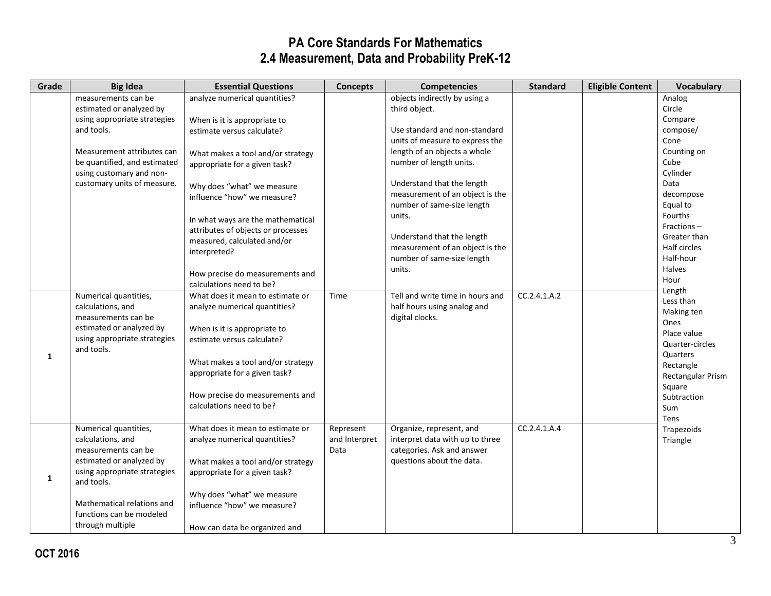| Grade        | <b>Big Idea</b>              | <b>Essential Questions</b>         | <b>Concepts</b> | <b>Competencies</b>              | <b>Standard</b> | <b>Eligible Content</b> | <b>Vocabulary</b>   |
|--------------|------------------------------|------------------------------------|-----------------|----------------------------------|-----------------|-------------------------|---------------------|
|              | measurements can be          | analyze numerical quantities?      |                 | objects indirectly by using a    |                 |                         | Analog              |
|              | estimated or analyzed by     |                                    |                 | third object.                    |                 |                         | Circle              |
|              | using appropriate strategies | When is it is appropriate to       |                 |                                  |                 |                         | Compare             |
|              | and tools.                   | estimate versus calculate?         |                 | Use standard and non-standard    |                 |                         | compose/            |
|              |                              |                                    |                 | units of measure to express the  |                 |                         | Cone                |
|              | Measurement attributes can   | What makes a tool and/or strategy  |                 | length of an objects a whole     |                 |                         | Counting on         |
|              | be quantified, and estimated | appropriate for a given task?      |                 | number of length units.          |                 |                         | Cube                |
|              | using customary and non-     |                                    |                 |                                  |                 |                         | Cylinder            |
|              | customary units of measure.  | Why does "what" we measure         |                 | Understand that the length       |                 |                         | Data                |
|              |                              | influence "how" we measure?        |                 | measurement of an object is the  |                 |                         | decompose           |
|              |                              |                                    |                 | number of same-size length       |                 |                         | Equal to            |
|              |                              | In what ways are the mathematical  |                 | units.                           |                 |                         | Fourths             |
|              |                              | attributes of objects or processes |                 |                                  |                 |                         | Fractions $-$       |
|              |                              | measured, calculated and/or        |                 | Understand that the length       |                 |                         | Greater than        |
|              |                              | interpreted?                       |                 | measurement of an object is the  |                 |                         | Half circles        |
|              |                              |                                    |                 | number of same-size length       |                 |                         | Half-hour           |
|              |                              | How precise do measurements and    |                 | units.                           |                 |                         | <b>Halves</b>       |
|              |                              | calculations need to be?           |                 |                                  |                 |                         | Hour                |
|              | Numerical quantities,        | What does it mean to estimate or   | Time            | Tell and write time in hours and | CC.2.4.1.A.2    |                         | Length<br>Less than |
|              | calculations, and            | analyze numerical quantities?      |                 | half hours using analog and      |                 |                         | Making ten          |
|              | measurements can be          |                                    |                 | digital clocks.                  |                 |                         | Ones                |
|              | estimated or analyzed by     | When is it is appropriate to       |                 |                                  |                 |                         | Place value         |
|              | using appropriate strategies | estimate versus calculate?         |                 |                                  |                 |                         | Quarter-circles     |
|              | and tools.                   |                                    |                 |                                  |                 |                         | Quarters            |
| $\mathbf{1}$ |                              | What makes a tool and/or strategy  |                 |                                  |                 |                         | Rectangle           |
|              |                              | appropriate for a given task?      |                 |                                  |                 |                         | Rectangular Prism   |
|              |                              |                                    |                 |                                  |                 |                         | Square              |
|              |                              | How precise do measurements and    |                 |                                  |                 |                         | Subtraction         |
|              |                              | calculations need to be?           |                 |                                  |                 |                         | Sum                 |
|              |                              |                                    |                 |                                  |                 |                         | Tens                |
|              | Numerical quantities,        | What does it mean to estimate or   | Represent       | Organize, represent, and         | CC.2.4.1.A.4    |                         | Trapezoids          |
|              | calculations, and            | analyze numerical quantities?      | and Interpret   | interpret data with up to three  |                 |                         | Triangle            |
|              | measurements can be          |                                    | Data            | categories. Ask and answer       |                 |                         |                     |
|              | estimated or analyzed by     | What makes a tool and/or strategy  |                 | questions about the data.        |                 |                         |                     |
| 1            | using appropriate strategies | appropriate for a given task?      |                 |                                  |                 |                         |                     |
|              | and tools.                   |                                    |                 |                                  |                 |                         |                     |
|              |                              | Why does "what" we measure         |                 |                                  |                 |                         |                     |
|              | Mathematical relations and   | influence "how" we measure?        |                 |                                  |                 |                         |                     |
|              | functions can be modeled     |                                    |                 |                                  |                 |                         |                     |
|              | through multiple             | How can data be organized and      |                 |                                  |                 |                         |                     |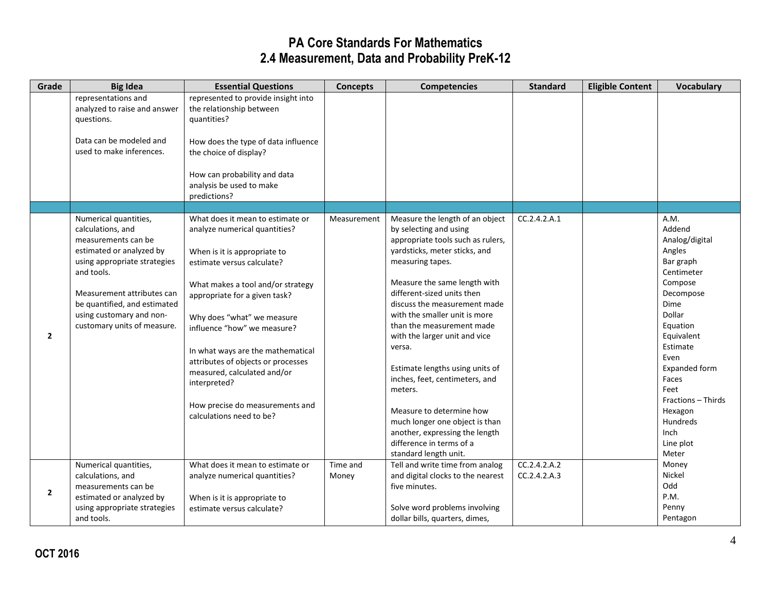| representations and<br>represented to provide insight into<br>analyzed to raise and answer<br>the relationship between<br>quantities?<br>questions.                                                   |  |
|-------------------------------------------------------------------------------------------------------------------------------------------------------------------------------------------------------|--|
|                                                                                                                                                                                                       |  |
|                                                                                                                                                                                                       |  |
| Data can be modeled and<br>How does the type of data influence                                                                                                                                        |  |
| used to make inferences.<br>the choice of display?                                                                                                                                                    |  |
| How can probability and data                                                                                                                                                                          |  |
| analysis be used to make                                                                                                                                                                              |  |
| predictions?                                                                                                                                                                                          |  |
| CC.2.4.2.A.1<br>A.M.                                                                                                                                                                                  |  |
| Numerical quantities,<br>What does it mean to estimate or<br>Measurement<br>Measure the length of an object<br>Addend<br>analyze numerical quantities?<br>calculations, and<br>by selecting and using |  |
| measurements can be<br>appropriate tools such as rulers,<br>Analog/digital                                                                                                                            |  |
| yardsticks, meter sticks, and<br>Angles<br>estimated or analyzed by<br>When is it is appropriate to                                                                                                   |  |
| using appropriate strategies<br>measuring tapes.<br>Bar graph<br>estimate versus calculate?                                                                                                           |  |
| and tools.<br>Centimeter                                                                                                                                                                              |  |
| Measure the same length with<br>Compose<br>What makes a tool and/or strategy                                                                                                                          |  |
| different-sized units then<br>Measurement attributes can<br>Decompose<br>appropriate for a given task?                                                                                                |  |
| be quantified, and estimated<br>discuss the measurement made<br>Dime                                                                                                                                  |  |
| using customary and non-<br>Dollar<br>with the smaller unit is more<br>Why does "what" we measure                                                                                                     |  |
| customary units of measure.<br>than the measurement made<br>Equation<br>influence "how" we measure?                                                                                                   |  |
| $\overline{2}$<br>with the larger unit and vice<br>Equivalent                                                                                                                                         |  |
| Estimate<br>versa.<br>In what ways are the mathematical<br>Even                                                                                                                                       |  |
| attributes of objects or processes<br>Estimate lengths using units of<br>Expanded form                                                                                                                |  |
| measured, calculated and/or<br>inches, feet, centimeters, and<br>Faces                                                                                                                                |  |
| interpreted?<br>Feet<br>meters.                                                                                                                                                                       |  |
| Fractions - Thirds                                                                                                                                                                                    |  |
| How precise do measurements and<br>Measure to determine how<br>Hexagon<br>calculations need to be?                                                                                                    |  |
| much longer one object is than<br>Hundreds                                                                                                                                                            |  |
| another, expressing the length<br>Inch                                                                                                                                                                |  |
| difference in terms of a<br>Line plot                                                                                                                                                                 |  |
| standard length unit.<br>Meter                                                                                                                                                                        |  |
| CC.2.4.2.A.2<br>Numerical quantities,<br>Time and<br>Tell and write time from analog<br>What does it mean to estimate or<br>Money                                                                     |  |
| Nickel<br>calculations, and<br>analyze numerical quantities?<br>and digital clocks to the nearest<br>CC.2.4.2.A.3<br>Money<br>Odd                                                                     |  |
| five minutes.<br>measurements can be<br>$\overline{2}$<br>P.M.<br>estimated or analyzed by                                                                                                            |  |
| When is it is appropriate to<br>Solve word problems involving<br>Penny<br>using appropriate strategies<br>estimate versus calculate?                                                                  |  |
| Pentagon<br>and tools.<br>dollar bills, quarters, dimes,                                                                                                                                              |  |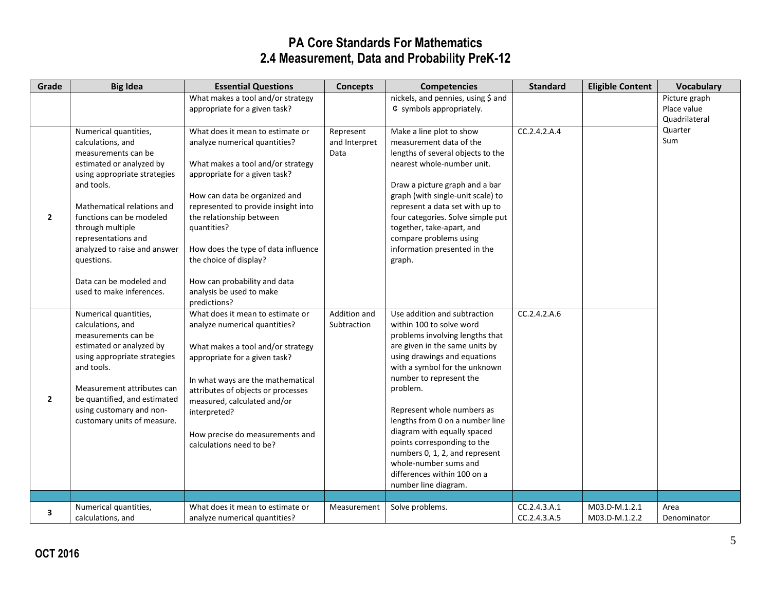| Grade          | <b>Big Idea</b>              | <b>Essential Questions</b>          | <b>Concepts</b> | <b>Competencies</b>                                           | <b>Standard</b>           | <b>Eligible Content</b> | Vocabulary    |
|----------------|------------------------------|-------------------------------------|-----------------|---------------------------------------------------------------|---------------------------|-------------------------|---------------|
|                |                              | What makes a tool and/or strategy   |                 | nickels, and pennies, using \$ and                            |                           |                         | Picture graph |
|                |                              | appropriate for a given task?       |                 | $\;$ symbols appropriately.                                   |                           |                         | Place value   |
|                |                              |                                     |                 |                                                               |                           |                         | Quadrilateral |
|                | Numerical quantities,        | What does it mean to estimate or    | Represent       | Make a line plot to show                                      | $\overline{CC}.2.4.2.A.4$ |                         | Quarter       |
|                | calculations, and            | analyze numerical quantities?       | and Interpret   | measurement data of the                                       |                           |                         | Sum           |
|                | measurements can be          |                                     | Data            | lengths of several objects to the                             |                           |                         |               |
|                | estimated or analyzed by     | What makes a tool and/or strategy   |                 | nearest whole-number unit.                                    |                           |                         |               |
|                | using appropriate strategies | appropriate for a given task?       |                 |                                                               |                           |                         |               |
|                | and tools.                   |                                     |                 | Draw a picture graph and a bar                                |                           |                         |               |
|                |                              | How can data be organized and       |                 | graph (with single-unit scale) to                             |                           |                         |               |
|                | Mathematical relations and   | represented to provide insight into |                 | represent a data set with up to                               |                           |                         |               |
| $\overline{2}$ | functions can be modeled     | the relationship between            |                 | four categories. Solve simple put                             |                           |                         |               |
|                | through multiple             | quantities?                         |                 | together, take-apart, and                                     |                           |                         |               |
|                | representations and          |                                     |                 | compare problems using                                        |                           |                         |               |
|                | analyzed to raise and answer | How does the type of data influence |                 | information presented in the                                  |                           |                         |               |
|                | questions.                   | the choice of display?              |                 | graph.                                                        |                           |                         |               |
|                |                              |                                     |                 |                                                               |                           |                         |               |
|                | Data can be modeled and      | How can probability and data        |                 |                                                               |                           |                         |               |
|                | used to make inferences.     | analysis be used to make            |                 |                                                               |                           |                         |               |
|                |                              | predictions?                        |                 |                                                               |                           |                         |               |
|                | Numerical quantities,        | What does it mean to estimate or    | Addition and    | Use addition and subtraction                                  | CC.2.4.2.A.6              |                         |               |
|                | calculations, and            | analyze numerical quantities?       | Subtraction     | within 100 to solve word                                      |                           |                         |               |
|                | measurements can be          |                                     |                 | problems involving lengths that                               |                           |                         |               |
|                | estimated or analyzed by     | What makes a tool and/or strategy   |                 | are given in the same units by                                |                           |                         |               |
|                | using appropriate strategies | appropriate for a given task?       |                 | using drawings and equations                                  |                           |                         |               |
|                | and tools.                   |                                     |                 | with a symbol for the unknown                                 |                           |                         |               |
|                |                              | In what ways are the mathematical   |                 | number to represent the                                       |                           |                         |               |
|                | Measurement attributes can   | attributes of objects or processes  |                 | problem.                                                      |                           |                         |               |
| $\overline{2}$ | be quantified, and estimated | measured, calculated and/or         |                 |                                                               |                           |                         |               |
|                | using customary and non-     | interpreted?                        |                 | Represent whole numbers as                                    |                           |                         |               |
|                | customary units of measure.  |                                     |                 | lengths from 0 on a number line                               |                           |                         |               |
|                |                              | How precise do measurements and     |                 | diagram with equally spaced                                   |                           |                         |               |
|                |                              | calculations need to be?            |                 | points corresponding to the<br>numbers 0, 1, 2, and represent |                           |                         |               |
|                |                              |                                     |                 | whole-number sums and                                         |                           |                         |               |
|                |                              |                                     |                 | differences within 100 on a                                   |                           |                         |               |
|                |                              |                                     |                 | number line diagram.                                          |                           |                         |               |
|                |                              |                                     |                 |                                                               |                           |                         |               |
|                | Numerical quantities,        | What does it mean to estimate or    | Measurement     | Solve problems.                                               | CC.2.4.3.A.1              | M03.D-M.1.2.1           | Area          |
| 3              | calculations, and            | analyze numerical quantities?       |                 |                                                               | CC.2.4.3.A.5              | M03.D-M.1.2.2           | Denominator   |
|                |                              |                                     |                 |                                                               |                           |                         |               |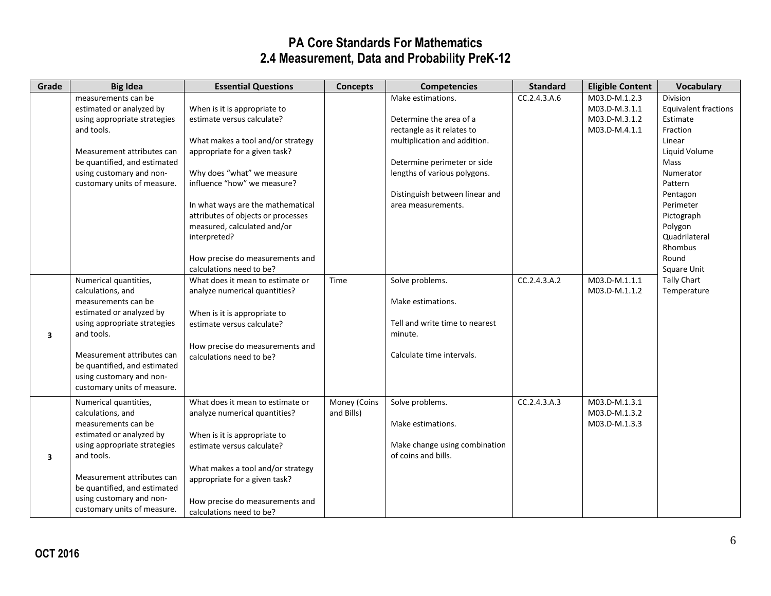| Grade | <b>Big Idea</b>              | <b>Essential Questions</b>         | <b>Concepts</b> | <b>Competencies</b>            | <b>Standard</b> | <b>Eligible Content</b> | Vocabulary                  |
|-------|------------------------------|------------------------------------|-----------------|--------------------------------|-----------------|-------------------------|-----------------------------|
|       | measurements can be          |                                    |                 | Make estimations.              | CC.2.4.3.A.6    | M03.D-M.1.2.3           | Division                    |
|       | estimated or analyzed by     | When is it is appropriate to       |                 |                                |                 | M03.D-M.3.1.1           | <b>Equivalent fractions</b> |
|       | using appropriate strategies | estimate versus calculate?         |                 | Determine the area of a        |                 | M03.D-M.3.1.2           | Estimate                    |
|       | and tools.                   |                                    |                 | rectangle as it relates to     |                 | M03.D-M.4.1.1           | Fraction                    |
|       |                              | What makes a tool and/or strategy  |                 | multiplication and addition.   |                 |                         | Linear                      |
|       | Measurement attributes can   | appropriate for a given task?      |                 |                                |                 |                         | Liquid Volume               |
|       | be quantified, and estimated |                                    |                 | Determine perimeter or side    |                 |                         | Mass                        |
|       | using customary and non-     | Why does "what" we measure         |                 | lengths of various polygons.   |                 |                         | Numerator                   |
|       | customary units of measure.  | influence "how" we measure?        |                 |                                |                 |                         | Pattern                     |
|       |                              |                                    |                 | Distinguish between linear and |                 |                         | Pentagon                    |
|       |                              | In what ways are the mathematical  |                 | area measurements.             |                 |                         | Perimeter                   |
|       |                              | attributes of objects or processes |                 |                                |                 |                         | Pictograph                  |
|       |                              | measured, calculated and/or        |                 |                                |                 |                         | Polygon                     |
|       |                              | interpreted?                       |                 |                                |                 |                         | Quadrilateral               |
|       |                              |                                    |                 |                                |                 |                         | Rhombus                     |
|       |                              | How precise do measurements and    |                 |                                |                 |                         | Round                       |
|       |                              | calculations need to be?           |                 |                                |                 |                         | Square Unit                 |
|       | Numerical quantities,        | What does it mean to estimate or   | Time            | Solve problems.                | CC.2.4.3.A.2    | M03.D-M.1.1.1           | Tally Chart                 |
|       | calculations, and            | analyze numerical quantities?      |                 |                                |                 | M03.D-M.1.1.2           | Temperature                 |
|       | measurements can be          |                                    |                 | Make estimations.              |                 |                         |                             |
|       | estimated or analyzed by     | When is it is appropriate to       |                 |                                |                 |                         |                             |
|       | using appropriate strategies | estimate versus calculate?         |                 | Tell and write time to nearest |                 |                         |                             |
| 3     | and tools.                   |                                    |                 | minute.                        |                 |                         |                             |
|       |                              | How precise do measurements and    |                 |                                |                 |                         |                             |
|       | Measurement attributes can   | calculations need to be?           |                 | Calculate time intervals.      |                 |                         |                             |
|       | be quantified, and estimated |                                    |                 |                                |                 |                         |                             |
|       | using customary and non-     |                                    |                 |                                |                 |                         |                             |
|       | customary units of measure.  |                                    |                 |                                |                 |                         |                             |
|       | Numerical quantities,        | What does it mean to estimate or   | Money (Coins    | Solve problems.                | CC.2.4.3.A.3    | M03.D-M.1.3.1           |                             |
|       | calculations, and            | analyze numerical quantities?      | and Bills)      |                                |                 | M03.D-M.1.3.2           |                             |
|       | measurements can be          |                                    |                 | Make estimations.              |                 | M03.D-M.1.3.3           |                             |
|       | estimated or analyzed by     | When is it is appropriate to       |                 |                                |                 |                         |                             |
|       | using appropriate strategies | estimate versus calculate?         |                 | Make change using combination  |                 |                         |                             |
| 3     | and tools.                   |                                    |                 | of coins and bills.            |                 |                         |                             |
|       |                              | What makes a tool and/or strategy  |                 |                                |                 |                         |                             |
|       | Measurement attributes can   | appropriate for a given task?      |                 |                                |                 |                         |                             |
|       | be quantified, and estimated |                                    |                 |                                |                 |                         |                             |
|       | using customary and non-     | How precise do measurements and    |                 |                                |                 |                         |                             |
|       | customary units of measure.  | calculations need to be?           |                 |                                |                 |                         |                             |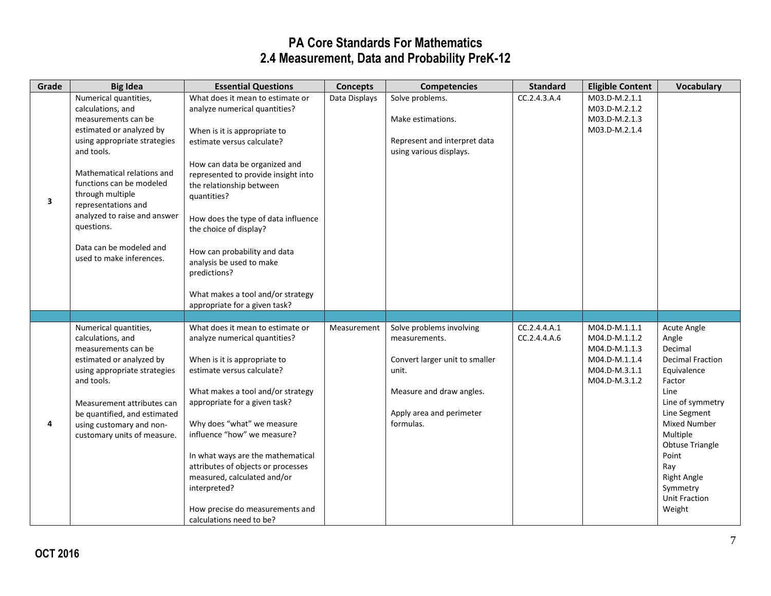| Grade | <b>Big Idea</b>                                                                                                                                                                                                                                                                                                                                       | <b>Essential Questions</b>                                                                                                                                                                                                                                                                                                                                                                                                                                            | <b>Concepts</b> | <b>Competencies</b>                                                                                                                                       | <b>Standard</b>              | <b>Eligible Content</b>                                                                            | <b>Vocabulary</b>                                                                                                                                                                                                                                                                |
|-------|-------------------------------------------------------------------------------------------------------------------------------------------------------------------------------------------------------------------------------------------------------------------------------------------------------------------------------------------------------|-----------------------------------------------------------------------------------------------------------------------------------------------------------------------------------------------------------------------------------------------------------------------------------------------------------------------------------------------------------------------------------------------------------------------------------------------------------------------|-----------------|-----------------------------------------------------------------------------------------------------------------------------------------------------------|------------------------------|----------------------------------------------------------------------------------------------------|----------------------------------------------------------------------------------------------------------------------------------------------------------------------------------------------------------------------------------------------------------------------------------|
| 3     | Numerical quantities,<br>calculations, and<br>measurements can be<br>estimated or analyzed by<br>using appropriate strategies<br>and tools.<br>Mathematical relations and<br>functions can be modeled<br>through multiple<br>representations and<br>analyzed to raise and answer<br>questions.<br>Data can be modeled and<br>used to make inferences. | What does it mean to estimate or<br>analyze numerical quantities?<br>When is it is appropriate to<br>estimate versus calculate?<br>How can data be organized and<br>represented to provide insight into<br>the relationship between<br>quantities?<br>How does the type of data influence<br>the choice of display?<br>How can probability and data<br>analysis be used to make<br>predictions?<br>What makes a tool and/or strategy<br>appropriate for a given task? | Data Displays   | Solve problems.<br>Make estimations.<br>Represent and interpret data<br>using various displays.                                                           | CC.2.4.3.A.4                 | M03.D-M.2.1.1<br>M03.D-M.2.1.2<br>M03.D-M.2.1.3<br>M03.D-M.2.1.4                                   |                                                                                                                                                                                                                                                                                  |
|       |                                                                                                                                                                                                                                                                                                                                                       |                                                                                                                                                                                                                                                                                                                                                                                                                                                                       |                 |                                                                                                                                                           |                              |                                                                                                    |                                                                                                                                                                                                                                                                                  |
| 4     | Numerical quantities,<br>calculations, and<br>measurements can be<br>estimated or analyzed by<br>using appropriate strategies<br>and tools.<br>Measurement attributes can<br>be quantified, and estimated<br>using customary and non-<br>customary units of measure.                                                                                  | What does it mean to estimate or<br>analyze numerical quantities?<br>When is it is appropriate to<br>estimate versus calculate?<br>What makes a tool and/or strategy<br>appropriate for a given task?<br>Why does "what" we measure<br>influence "how" we measure?<br>In what ways are the mathematical<br>attributes of objects or processes<br>measured, calculated and/or<br>interpreted?<br>How precise do measurements and<br>calculations need to be?           | Measurement     | Solve problems involving<br>measurements.<br>Convert larger unit to smaller<br>unit.<br>Measure and draw angles.<br>Apply area and perimeter<br>formulas. | CC.2.4.4.A.1<br>CC.2.4.4.4.6 | M04.D-M.1.1.1<br>M04.D-M.1.1.2<br>M04.D-M.1.1.3<br>M04.D-M.1.1.4<br>M04.D-M.3.1.1<br>M04.D-M.3.1.2 | Acute Angle<br>Angle<br>Decimal<br><b>Decimal Fraction</b><br>Equivalence<br>Factor<br>Line<br>Line of symmetry<br>Line Segment<br><b>Mixed Number</b><br>Multiple<br><b>Obtuse Triangle</b><br>Point<br>Ray<br><b>Right Angle</b><br>Symmetry<br><b>Unit Fraction</b><br>Weight |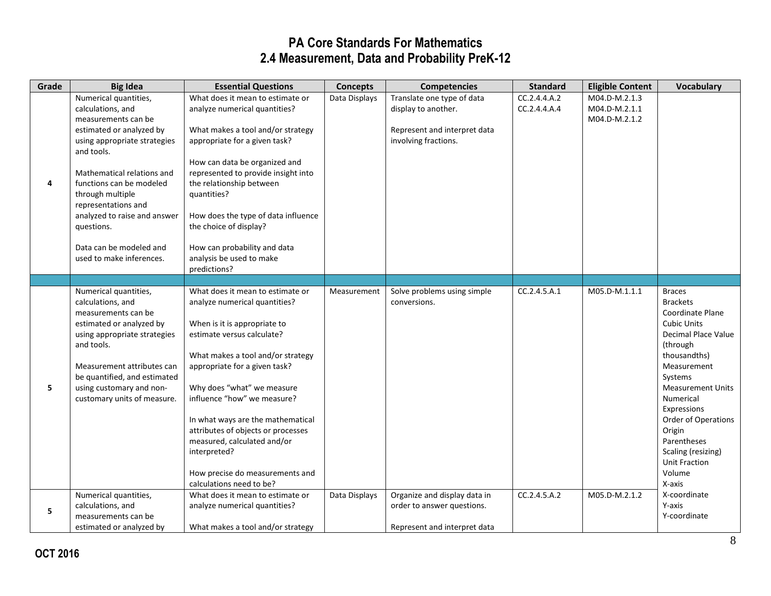| Grade | <b>Big Idea</b>                                                                                                                                                                                                                                                                                                                                       | <b>Essential Questions</b>                                                                                                                                                                                                                                                                                                                                                                                                                                  | <b>Concepts</b> | <b>Competencies</b>                                                                                       | <b>Standard</b>              | <b>Eligible Content</b>                         | <b>Vocabulary</b>                                                                                                                                                                                                                                                                                                                        |
|-------|-------------------------------------------------------------------------------------------------------------------------------------------------------------------------------------------------------------------------------------------------------------------------------------------------------------------------------------------------------|-------------------------------------------------------------------------------------------------------------------------------------------------------------------------------------------------------------------------------------------------------------------------------------------------------------------------------------------------------------------------------------------------------------------------------------------------------------|-----------------|-----------------------------------------------------------------------------------------------------------|------------------------------|-------------------------------------------------|------------------------------------------------------------------------------------------------------------------------------------------------------------------------------------------------------------------------------------------------------------------------------------------------------------------------------------------|
| 4     | Numerical quantities,<br>calculations, and<br>measurements can be<br>estimated or analyzed by<br>using appropriate strategies<br>and tools.<br>Mathematical relations and<br>functions can be modeled<br>through multiple<br>representations and<br>analyzed to raise and answer<br>questions.<br>Data can be modeled and<br>used to make inferences. | What does it mean to estimate or<br>analyze numerical quantities?<br>What makes a tool and/or strategy<br>appropriate for a given task?<br>How can data be organized and<br>represented to provide insight into<br>the relationship between<br>quantities?<br>How does the type of data influence<br>the choice of display?<br>How can probability and data<br>analysis be used to make<br>predictions?                                                     | Data Displays   | Translate one type of data<br>display to another.<br>Represent and interpret data<br>involving fractions. | CC.2.4.4.A.2<br>CC.2.4.4.A.4 | M04.D-M.2.1.3<br>M04.D-M.2.1.1<br>M04.D-M.2.1.2 |                                                                                                                                                                                                                                                                                                                                          |
|       |                                                                                                                                                                                                                                                                                                                                                       |                                                                                                                                                                                                                                                                                                                                                                                                                                                             |                 |                                                                                                           |                              |                                                 |                                                                                                                                                                                                                                                                                                                                          |
| 5     | Numerical quantities,<br>calculations, and<br>measurements can be<br>estimated or analyzed by<br>using appropriate strategies<br>and tools.<br>Measurement attributes can<br>be quantified, and estimated<br>using customary and non-<br>customary units of measure.                                                                                  | What does it mean to estimate or<br>analyze numerical quantities?<br>When is it is appropriate to<br>estimate versus calculate?<br>What makes a tool and/or strategy<br>appropriate for a given task?<br>Why does "what" we measure<br>influence "how" we measure?<br>In what ways are the mathematical<br>attributes of objects or processes<br>measured, calculated and/or<br>interpreted?<br>How precise do measurements and<br>calculations need to be? | Measurement     | Solve problems using simple<br>conversions.                                                               | CC.2.4.5.A.1                 | M05.D-M.1.1.1                                   | <b>Braces</b><br><b>Brackets</b><br><b>Coordinate Plane</b><br><b>Cubic Units</b><br>Decimal Place Value<br>(through<br>thousandths)<br>Measurement<br>Systems<br><b>Measurement Units</b><br>Numerical<br>Expressions<br>Order of Operations<br>Origin<br>Parentheses<br>Scaling (resizing)<br><b>Unit Fraction</b><br>Volume<br>X-axis |
| 5     | Numerical quantities,<br>calculations, and<br>measurements can be<br>estimated or analyzed by                                                                                                                                                                                                                                                         | What does it mean to estimate or<br>analyze numerical quantities?<br>What makes a tool and/or strategy                                                                                                                                                                                                                                                                                                                                                      | Data Displays   | Organize and display data in<br>order to answer questions.<br>Represent and interpret data                | CC.2.4.5.A.2                 | M05.D-M.2.1.2                                   | X-coordinate<br>Y-axis<br>Y-coordinate                                                                                                                                                                                                                                                                                                   |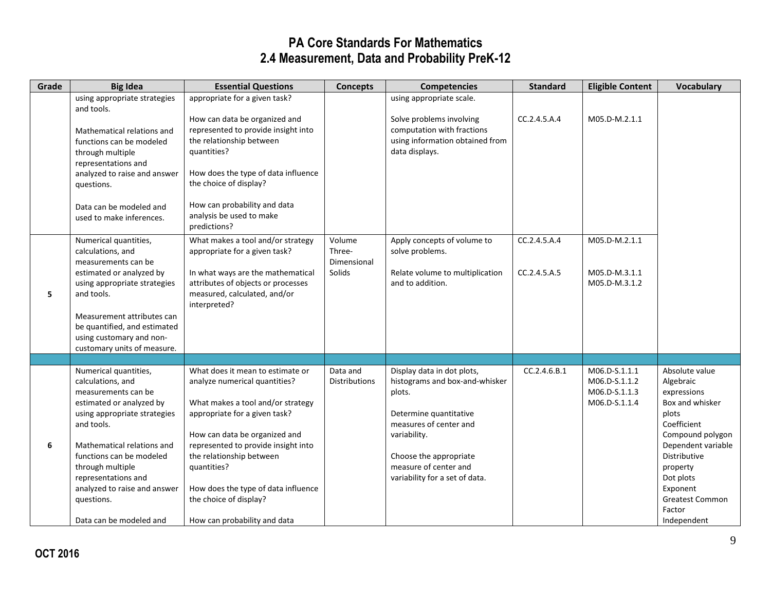| Grade | <b>Big Idea</b>                                                                                                                                                                                                                                                                                                           | <b>Essential Questions</b>                                                                                                                                                                                                                                                                                                                                  | <b>Concepts</b>                           | <b>Competencies</b>                                                                                                                                                                                                             | <b>Standard</b>              | <b>Eligible Content</b>                                          | <b>Vocabulary</b>                                                                                                                                                                                                                       |
|-------|---------------------------------------------------------------------------------------------------------------------------------------------------------------------------------------------------------------------------------------------------------------------------------------------------------------------------|-------------------------------------------------------------------------------------------------------------------------------------------------------------------------------------------------------------------------------------------------------------------------------------------------------------------------------------------------------------|-------------------------------------------|---------------------------------------------------------------------------------------------------------------------------------------------------------------------------------------------------------------------------------|------------------------------|------------------------------------------------------------------|-----------------------------------------------------------------------------------------------------------------------------------------------------------------------------------------------------------------------------------------|
|       | using appropriate strategies<br>and tools.<br>Mathematical relations and<br>functions can be modeled<br>through multiple<br>representations and<br>analyzed to raise and answer<br>questions.<br>Data can be modeled and<br>used to make inferences.                                                                      | appropriate for a given task?<br>How can data be organized and<br>represented to provide insight into<br>the relationship between<br>quantities?<br>How does the type of data influence<br>the choice of display?<br>How can probability and data<br>analysis be used to make<br>predictions?                                                               |                                           | using appropriate scale.<br>Solve problems involving<br>computation with fractions<br>using information obtained from<br>data displays.                                                                                         | CC.2.4.5.A.4                 | M05.D-M.2.1.1                                                    |                                                                                                                                                                                                                                         |
| 5.    | Numerical quantities,<br>calculations, and<br>measurements can be<br>estimated or analyzed by<br>using appropriate strategies<br>and tools.<br>Measurement attributes can<br>be quantified, and estimated<br>using customary and non-<br>customary units of measure.                                                      | What makes a tool and/or strategy<br>appropriate for a given task?<br>In what ways are the mathematical<br>attributes of objects or processes<br>measured, calculated, and/or<br>interpreted?                                                                                                                                                               | Volume<br>Three-<br>Dimensional<br>Solids | Apply concepts of volume to<br>solve problems.<br>Relate volume to multiplication<br>and to addition.                                                                                                                           | CC.2.4.5.A.4<br>CC.2.4.5.A.5 | M05.D-M.2.1.1<br>M05.D-M.3.1.1<br>M05.D-M.3.1.2                  |                                                                                                                                                                                                                                         |
|       |                                                                                                                                                                                                                                                                                                                           |                                                                                                                                                                                                                                                                                                                                                             |                                           |                                                                                                                                                                                                                                 |                              |                                                                  |                                                                                                                                                                                                                                         |
| 6     | Numerical quantities,<br>calculations, and<br>measurements can be<br>estimated or analyzed by<br>using appropriate strategies<br>and tools.<br>Mathematical relations and<br>functions can be modeled<br>through multiple<br>representations and<br>analyzed to raise and answer<br>questions.<br>Data can be modeled and | What does it mean to estimate or<br>analyze numerical quantities?<br>What makes a tool and/or strategy<br>appropriate for a given task?<br>How can data be organized and<br>represented to provide insight into<br>the relationship between<br>quantities?<br>How does the type of data influence<br>the choice of display?<br>How can probability and data | Data and<br>Distributions                 | Display data in dot plots,<br>histograms and box-and-whisker<br>plots.<br>Determine quantitative<br>measures of center and<br>variability.<br>Choose the appropriate<br>measure of center and<br>variability for a set of data. | CC.2.4.6.B.1                 | M06.D-S.1.1.1<br>M06.D-S.1.1.2<br>M06.D-S.1.1.3<br>M06.D-S.1.1.4 | Absolute value<br>Algebraic<br>expressions<br>Box and whisker<br>plots<br>Coefficient<br>Compound polygon<br>Dependent variable<br>Distributive<br>property<br>Dot plots<br>Exponent<br><b>Greatest Common</b><br>Factor<br>Independent |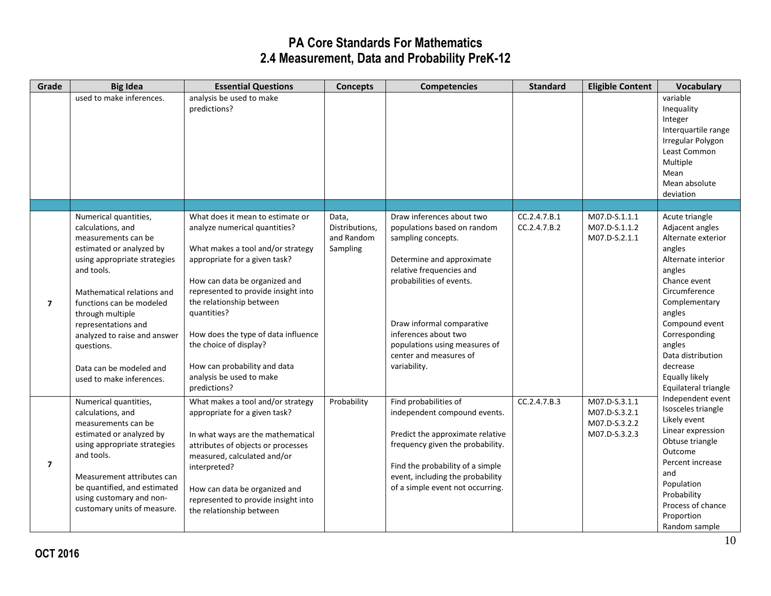| Grade                   | <b>Big Idea</b>                                                                                                                                                                                                                                                                                                                                       | <b>Essential Questions</b>                                                                                                                                                                                                                                                                                                                                                                              | <b>Concepts</b>                                   | <b>Competencies</b>                                                                                                                                                                                                                                                                                 | <b>Standard</b>              | <b>Eligible Content</b>                                          | <b>Vocabulary</b>                                                                                                                                                                                                                                                                     |
|-------------------------|-------------------------------------------------------------------------------------------------------------------------------------------------------------------------------------------------------------------------------------------------------------------------------------------------------------------------------------------------------|---------------------------------------------------------------------------------------------------------------------------------------------------------------------------------------------------------------------------------------------------------------------------------------------------------------------------------------------------------------------------------------------------------|---------------------------------------------------|-----------------------------------------------------------------------------------------------------------------------------------------------------------------------------------------------------------------------------------------------------------------------------------------------------|------------------------------|------------------------------------------------------------------|---------------------------------------------------------------------------------------------------------------------------------------------------------------------------------------------------------------------------------------------------------------------------------------|
|                         | used to make inferences.                                                                                                                                                                                                                                                                                                                              | analysis be used to make<br>predictions?                                                                                                                                                                                                                                                                                                                                                                |                                                   |                                                                                                                                                                                                                                                                                                     |                              |                                                                  | variable<br>Inequality<br>Integer<br>Interquartile range<br>Irregular Polygon<br>Least Common<br>Multiple<br>Mean<br>Mean absolute<br>deviation                                                                                                                                       |
|                         |                                                                                                                                                                                                                                                                                                                                                       |                                                                                                                                                                                                                                                                                                                                                                                                         |                                                   |                                                                                                                                                                                                                                                                                                     |                              |                                                                  |                                                                                                                                                                                                                                                                                       |
| $\overline{7}$          | Numerical quantities,<br>calculations, and<br>measurements can be<br>estimated or analyzed by<br>using appropriate strategies<br>and tools.<br>Mathematical relations and<br>functions can be modeled<br>through multiple<br>representations and<br>analyzed to raise and answer<br>questions.<br>Data can be modeled and<br>used to make inferences. | What does it mean to estimate or<br>analyze numerical quantities?<br>What makes a tool and/or strategy<br>appropriate for a given task?<br>How can data be organized and<br>represented to provide insight into<br>the relationship between<br>quantities?<br>How does the type of data influence<br>the choice of display?<br>How can probability and data<br>analysis be used to make<br>predictions? | Data,<br>Distributions,<br>and Random<br>Sampling | Draw inferences about two<br>populations based on random<br>sampling concepts.<br>Determine and approximate<br>relative frequencies and<br>probabilities of events.<br>Draw informal comparative<br>inferences about two<br>populations using measures of<br>center and measures of<br>variability. | CC.2.4.7.B.1<br>CC.2.4.7.B.2 | M07.D-S.1.1.1<br>M07.D-S.1.1.2<br>M07.D-S.2.1.1                  | Acute triangle<br>Adjacent angles<br>Alternate exterior<br>angles<br>Alternate interior<br>angles<br>Chance event<br>Circumference<br>Complementary<br>angles<br>Compound event<br>Corresponding<br>angles<br>Data distribution<br>decrease<br>Equally likely<br>Equilateral triangle |
| $\overline{\mathbf{z}}$ | Numerical quantities,<br>calculations, and<br>measurements can be<br>estimated or analyzed by<br>using appropriate strategies<br>and tools.<br>Measurement attributes can<br>be quantified, and estimated<br>using customary and non-<br>customary units of measure.                                                                                  | What makes a tool and/or strategy<br>appropriate for a given task?<br>In what ways are the mathematical<br>attributes of objects or processes<br>measured, calculated and/or<br>interpreted?<br>How can data be organized and<br>represented to provide insight into<br>the relationship between                                                                                                        | Probability                                       | Find probabilities of<br>independent compound events.<br>Predict the approximate relative<br>frequency given the probability.<br>Find the probability of a simple<br>event, including the probability<br>of a simple event not occurring.                                                           | CC.2.4.7.B.3                 | M07.D-S.3.1.1<br>M07.D-S.3.2.1<br>M07.D-S.3.2.2<br>M07.D-S.3.2.3 | Independent event<br>Isosceles triangle<br>Likely event<br>Linear expression<br>Obtuse triangle<br>Outcome<br>Percent increase<br>and<br>Population<br>Probability<br>Process of chance<br>Proportion<br>Random sample                                                                |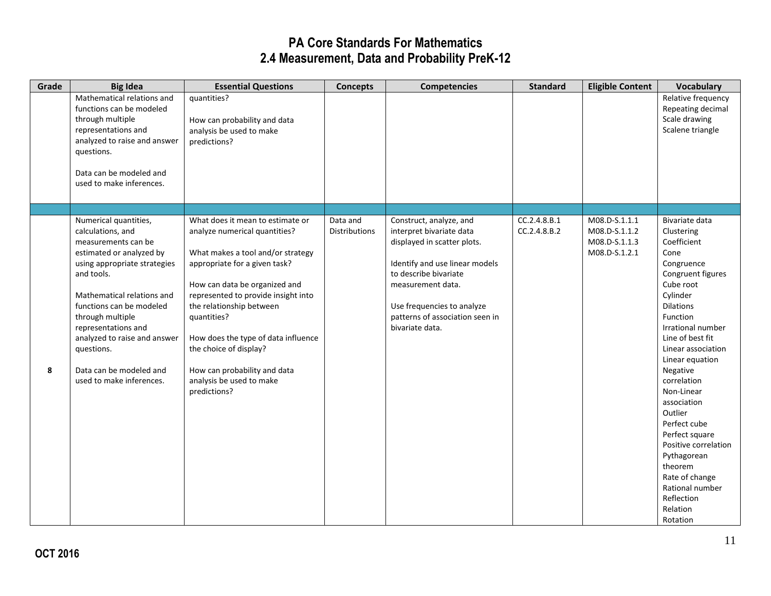| Grade | <b>Big Idea</b>                                                                                                                                                                                                                                                                                                                                       | <b>Essential Questions</b>                                                                                                                                                                                                                                                                                                                                                                              | <b>Concepts</b>           | <b>Competencies</b>                                                                                                                                                                                                                                    | <b>Standard</b>              | <b>Eligible Content</b>                                          | <b>Vocabulary</b>                                                                                                                                                                                                                                                                                                                                                                                                                                                   |
|-------|-------------------------------------------------------------------------------------------------------------------------------------------------------------------------------------------------------------------------------------------------------------------------------------------------------------------------------------------------------|---------------------------------------------------------------------------------------------------------------------------------------------------------------------------------------------------------------------------------------------------------------------------------------------------------------------------------------------------------------------------------------------------------|---------------------------|--------------------------------------------------------------------------------------------------------------------------------------------------------------------------------------------------------------------------------------------------------|------------------------------|------------------------------------------------------------------|---------------------------------------------------------------------------------------------------------------------------------------------------------------------------------------------------------------------------------------------------------------------------------------------------------------------------------------------------------------------------------------------------------------------------------------------------------------------|
|       | Mathematical relations and<br>functions can be modeled<br>through multiple<br>representations and<br>analyzed to raise and answer<br>questions.<br>Data can be modeled and<br>used to make inferences.                                                                                                                                                | quantities?<br>How can probability and data<br>analysis be used to make<br>predictions?                                                                                                                                                                                                                                                                                                                 |                           |                                                                                                                                                                                                                                                        |                              |                                                                  | Relative frequency<br>Repeating decimal<br>Scale drawing<br>Scalene triangle                                                                                                                                                                                                                                                                                                                                                                                        |
|       |                                                                                                                                                                                                                                                                                                                                                       |                                                                                                                                                                                                                                                                                                                                                                                                         |                           |                                                                                                                                                                                                                                                        |                              |                                                                  |                                                                                                                                                                                                                                                                                                                                                                                                                                                                     |
| 8     | Numerical quantities,<br>calculations, and<br>measurements can be<br>estimated or analyzed by<br>using appropriate strategies<br>and tools.<br>Mathematical relations and<br>functions can be modeled<br>through multiple<br>representations and<br>analyzed to raise and answer<br>questions.<br>Data can be modeled and<br>used to make inferences. | What does it mean to estimate or<br>analyze numerical quantities?<br>What makes a tool and/or strategy<br>appropriate for a given task?<br>How can data be organized and<br>represented to provide insight into<br>the relationship between<br>quantities?<br>How does the type of data influence<br>the choice of display?<br>How can probability and data<br>analysis be used to make<br>predictions? | Data and<br>Distributions | Construct, analyze, and<br>interpret bivariate data<br>displayed in scatter plots.<br>Identify and use linear models<br>to describe bivariate<br>measurement data.<br>Use frequencies to analyze<br>patterns of association seen in<br>bivariate data. | CC.2.4.8.B.1<br>CC.2.4.8.B.2 | M08.D-S.1.1.1<br>M08.D-S.1.1.2<br>M08.D-S.1.1.3<br>M08.D-S.1.2.1 | Bivariate data<br>Clustering<br>Coefficient<br>Cone<br>Congruence<br>Congruent figures<br>Cube root<br>Cylinder<br><b>Dilations</b><br>Function<br>Irrational number<br>Line of best fit<br>Linear association<br>Linear equation<br>Negative<br>correlation<br>Non-Linear<br>association<br>Outlier<br>Perfect cube<br>Perfect square<br>Positive correlation<br>Pythagorean<br>theorem<br>Rate of change<br>Rational number<br>Reflection<br>Relation<br>Rotation |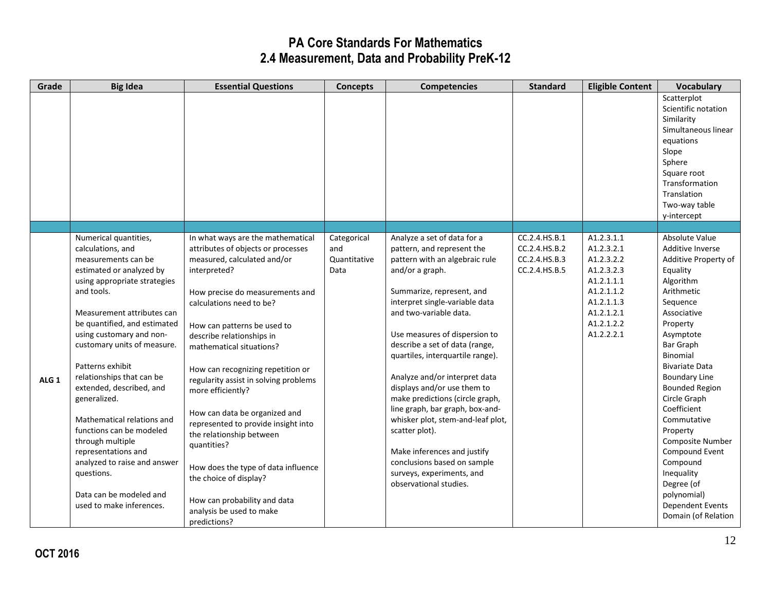| Grade            | <b>Big Idea</b>                                                                                                                                                                                                                                                                                                                                                                                                                                                                                                                                                             | <b>Essential Questions</b>                                                                                                                                                                                                                                                                                                                                                                                                                                                                                                                                                                                                                       | <b>Concepts</b>                            | <b>Competencies</b>                                                                                                                                                                                                                                                                                                                                                                                                                                                                                                                                                                                                              | <b>Standard</b>                                                  | <b>Eligible Content</b>                                                                                                                  | <b>Vocabulary</b>                                                                                                                                                                                                                                                                                                                                                                                                                                                 |
|------------------|-----------------------------------------------------------------------------------------------------------------------------------------------------------------------------------------------------------------------------------------------------------------------------------------------------------------------------------------------------------------------------------------------------------------------------------------------------------------------------------------------------------------------------------------------------------------------------|--------------------------------------------------------------------------------------------------------------------------------------------------------------------------------------------------------------------------------------------------------------------------------------------------------------------------------------------------------------------------------------------------------------------------------------------------------------------------------------------------------------------------------------------------------------------------------------------------------------------------------------------------|--------------------------------------------|----------------------------------------------------------------------------------------------------------------------------------------------------------------------------------------------------------------------------------------------------------------------------------------------------------------------------------------------------------------------------------------------------------------------------------------------------------------------------------------------------------------------------------------------------------------------------------------------------------------------------------|------------------------------------------------------------------|------------------------------------------------------------------------------------------------------------------------------------------|-------------------------------------------------------------------------------------------------------------------------------------------------------------------------------------------------------------------------------------------------------------------------------------------------------------------------------------------------------------------------------------------------------------------------------------------------------------------|
|                  |                                                                                                                                                                                                                                                                                                                                                                                                                                                                                                                                                                             |                                                                                                                                                                                                                                                                                                                                                                                                                                                                                                                                                                                                                                                  |                                            |                                                                                                                                                                                                                                                                                                                                                                                                                                                                                                                                                                                                                                  |                                                                  |                                                                                                                                          | Scatterplot<br>Scientific notation<br>Similarity<br>Simultaneous linear<br>equations<br>Slope<br>Sphere<br>Square root<br>Transformation<br>Translation                                                                                                                                                                                                                                                                                                           |
|                  |                                                                                                                                                                                                                                                                                                                                                                                                                                                                                                                                                                             |                                                                                                                                                                                                                                                                                                                                                                                                                                                                                                                                                                                                                                                  |                                            |                                                                                                                                                                                                                                                                                                                                                                                                                                                                                                                                                                                                                                  |                                                                  |                                                                                                                                          | Two-way table<br>y-intercept                                                                                                                                                                                                                                                                                                                                                                                                                                      |
|                  |                                                                                                                                                                                                                                                                                                                                                                                                                                                                                                                                                                             |                                                                                                                                                                                                                                                                                                                                                                                                                                                                                                                                                                                                                                                  |                                            |                                                                                                                                                                                                                                                                                                                                                                                                                                                                                                                                                                                                                                  |                                                                  |                                                                                                                                          |                                                                                                                                                                                                                                                                                                                                                                                                                                                                   |
| ALG <sub>1</sub> | Numerical quantities,<br>calculations, and<br>measurements can be<br>estimated or analyzed by<br>using appropriate strategies<br>and tools.<br>Measurement attributes can<br>be quantified, and estimated<br>using customary and non-<br>customary units of measure.<br>Patterns exhibit<br>relationships that can be<br>extended, described, and<br>generalized.<br>Mathematical relations and<br>functions can be modeled<br>through multiple<br>representations and<br>analyzed to raise and answer<br>questions.<br>Data can be modeled and<br>used to make inferences. | In what ways are the mathematical<br>attributes of objects or processes<br>measured, calculated and/or<br>interpreted?<br>How precise do measurements and<br>calculations need to be?<br>How can patterns be used to<br>describe relationships in<br>mathematical situations?<br>How can recognizing repetition or<br>regularity assist in solving problems<br>more efficiently?<br>How can data be organized and<br>represented to provide insight into<br>the relationship between<br>quantities?<br>How does the type of data influence<br>the choice of display?<br>How can probability and data<br>analysis be used to make<br>predictions? | Categorical<br>and<br>Quantitative<br>Data | Analyze a set of data for a<br>pattern, and represent the<br>pattern with an algebraic rule<br>and/or a graph.<br>Summarize, represent, and<br>interpret single-variable data<br>and two-variable data.<br>Use measures of dispersion to<br>describe a set of data (range,<br>quartiles, interquartile range).<br>Analyze and/or interpret data<br>displays and/or use them to<br>make predictions (circle graph,<br>line graph, bar graph, box-and-<br>whisker plot, stem-and-leaf plot,<br>scatter plot).<br>Make inferences and justify<br>conclusions based on sample<br>surveys, experiments, and<br>observational studies. | CC.2.4.HS.B.1<br>CC.2.4.HS.B.2<br>CC.2.4.HS.B.3<br>CC.2.4.HS.B.5 | A1.2.3.1.1<br>A1.2.3.2.1<br>A1.2.3.2.2<br>A1.2.3.2.3<br>A1.2.1.1.1<br>A1.2.1.1.2<br>A1.2.1.1.3<br>A1.2.1.2.1<br>A1.2.1.2.2<br>A1.2.2.2.1 | Absolute Value<br>Additive Inverse<br>Additive Property of<br>Equality<br>Algorithm<br>Arithmetic<br>Sequence<br>Associative<br>Property<br>Asymptote<br>Bar Graph<br><b>Binomial</b><br><b>Bivariate Data</b><br><b>Boundary Line</b><br><b>Bounded Region</b><br>Circle Graph<br>Coefficient<br>Commutative<br>Property<br>Composite Number<br>Compound Event<br>Compound<br>Inequality<br>Degree (of<br>polynomial)<br>Dependent Events<br>Domain (of Relation |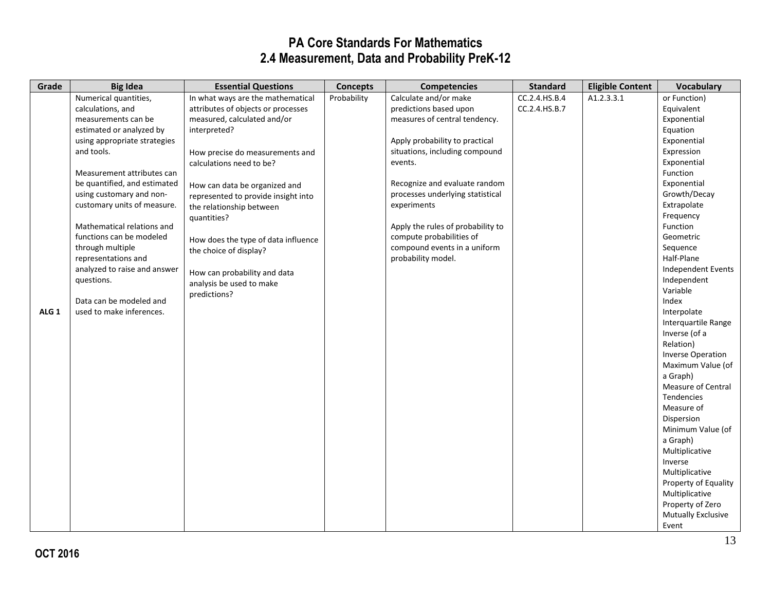| Grade            | <b>Big Idea</b>              | <b>Essential Questions</b>          | <b>Concepts</b> | <b>Competencies</b>               | <b>Standard</b> | <b>Eligible Content</b> | <b>Vocabulary</b>         |
|------------------|------------------------------|-------------------------------------|-----------------|-----------------------------------|-----------------|-------------------------|---------------------------|
|                  | Numerical quantities,        | In what ways are the mathematical   | Probability     | Calculate and/or make             | CC.2.4.HS.B.4   | A1.2.3.3.1              | or Function)              |
|                  | calculations, and            | attributes of objects or processes  |                 | predictions based upon            | CC.2.4.HS.B.7   |                         | Equivalent                |
|                  | measurements can be          | measured, calculated and/or         |                 | measures of central tendency.     |                 |                         | Exponential               |
|                  | estimated or analyzed by     | interpreted?                        |                 |                                   |                 |                         | Equation                  |
|                  | using appropriate strategies |                                     |                 | Apply probability to practical    |                 |                         | Exponential               |
|                  | and tools.                   | How precise do measurements and     |                 | situations, including compound    |                 |                         | Expression                |
|                  |                              | calculations need to be?            |                 | events.                           |                 |                         | Exponential               |
|                  | Measurement attributes can   |                                     |                 |                                   |                 |                         | Function                  |
|                  | be quantified, and estimated | How can data be organized and       |                 | Recognize and evaluate random     |                 |                         | Exponential               |
|                  | using customary and non-     | represented to provide insight into |                 | processes underlying statistical  |                 |                         | Growth/Decay              |
|                  | customary units of measure.  | the relationship between            |                 | experiments                       |                 |                         | Extrapolate               |
|                  |                              | quantities?                         |                 |                                   |                 |                         | Frequency                 |
|                  | Mathematical relations and   |                                     |                 | Apply the rules of probability to |                 |                         | Function                  |
|                  | functions can be modeled     | How does the type of data influence |                 | compute probabilities of          |                 |                         | Geometric                 |
|                  | through multiple             | the choice of display?              |                 | compound events in a uniform      |                 |                         | Sequence                  |
|                  | representations and          |                                     |                 | probability model.                |                 |                         | Half-Plane                |
|                  | analyzed to raise and answer | How can probability and data        |                 |                                   |                 |                         | <b>Independent Events</b> |
|                  | questions.                   | analysis be used to make            |                 |                                   |                 |                         | Independent               |
|                  |                              | predictions?                        |                 |                                   |                 |                         | Variable                  |
|                  | Data can be modeled and      |                                     |                 |                                   |                 |                         | Index                     |
| ALG <sub>1</sub> | used to make inferences.     |                                     |                 |                                   |                 |                         | Interpolate               |
|                  |                              |                                     |                 |                                   |                 |                         | Interquartile Range       |
|                  |                              |                                     |                 |                                   |                 |                         | Inverse (of a             |
|                  |                              |                                     |                 |                                   |                 |                         | Relation)                 |
|                  |                              |                                     |                 |                                   |                 |                         | <b>Inverse Operation</b>  |
|                  |                              |                                     |                 |                                   |                 |                         | Maximum Value (of         |
|                  |                              |                                     |                 |                                   |                 |                         | a Graph)                  |
|                  |                              |                                     |                 |                                   |                 |                         | Measure of Central        |
|                  |                              |                                     |                 |                                   |                 |                         | <b>Tendencies</b>         |
|                  |                              |                                     |                 |                                   |                 |                         | Measure of                |
|                  |                              |                                     |                 |                                   |                 |                         | Dispersion                |
|                  |                              |                                     |                 |                                   |                 |                         | Minimum Value (of         |
|                  |                              |                                     |                 |                                   |                 |                         | a Graph)                  |
|                  |                              |                                     |                 |                                   |                 |                         | Multiplicative            |
|                  |                              |                                     |                 |                                   |                 |                         | Inverse                   |
|                  |                              |                                     |                 |                                   |                 |                         | Multiplicative            |
|                  |                              |                                     |                 |                                   |                 |                         | Property of Equality      |
|                  |                              |                                     |                 |                                   |                 |                         | Multiplicative            |
|                  |                              |                                     |                 |                                   |                 |                         | Property of Zero          |
|                  |                              |                                     |                 |                                   |                 |                         | <b>Mutually Exclusive</b> |
|                  |                              |                                     |                 |                                   |                 |                         | Event                     |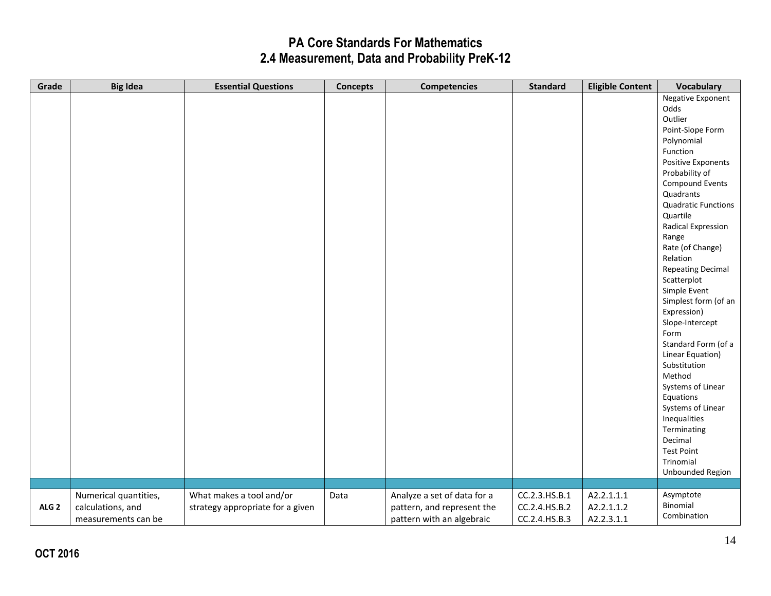| Grade            | <b>Big Idea</b>       | <b>Essential Questions</b>       | <b>Concepts</b> | <b>Competencies</b>         | <b>Standard</b> | <b>Eligible Content</b> | <b>Vocabulary</b>          |
|------------------|-----------------------|----------------------------------|-----------------|-----------------------------|-----------------|-------------------------|----------------------------|
|                  |                       |                                  |                 |                             |                 |                         | Negative Exponent          |
|                  |                       |                                  |                 |                             |                 |                         | Odds                       |
|                  |                       |                                  |                 |                             |                 |                         | Outlier                    |
|                  |                       |                                  |                 |                             |                 |                         | Point-Slope Form           |
|                  |                       |                                  |                 |                             |                 |                         | Polynomial                 |
|                  |                       |                                  |                 |                             |                 |                         | Function                   |
|                  |                       |                                  |                 |                             |                 |                         | Positive Exponents         |
|                  |                       |                                  |                 |                             |                 |                         | Probability of             |
|                  |                       |                                  |                 |                             |                 |                         | <b>Compound Events</b>     |
|                  |                       |                                  |                 |                             |                 |                         | Quadrants                  |
|                  |                       |                                  |                 |                             |                 |                         | <b>Quadratic Functions</b> |
|                  |                       |                                  |                 |                             |                 |                         | Quartile                   |
|                  |                       |                                  |                 |                             |                 |                         | Radical Expression         |
|                  |                       |                                  |                 |                             |                 |                         | Range                      |
|                  |                       |                                  |                 |                             |                 |                         | Rate (of Change)           |
|                  |                       |                                  |                 |                             |                 |                         | Relation                   |
|                  |                       |                                  |                 |                             |                 |                         | <b>Repeating Decimal</b>   |
|                  |                       |                                  |                 |                             |                 |                         | Scatterplot                |
|                  |                       |                                  |                 |                             |                 |                         | Simple Event               |
|                  |                       |                                  |                 |                             |                 |                         | Simplest form (of an       |
|                  |                       |                                  |                 |                             |                 |                         | Expression)                |
|                  |                       |                                  |                 |                             |                 |                         | Slope-Intercept            |
|                  |                       |                                  |                 |                             |                 |                         | Form                       |
|                  |                       |                                  |                 |                             |                 |                         | Standard Form (of a        |
|                  |                       |                                  |                 |                             |                 |                         | Linear Equation)           |
|                  |                       |                                  |                 |                             |                 |                         | Substitution               |
|                  |                       |                                  |                 |                             |                 |                         | Method                     |
|                  |                       |                                  |                 |                             |                 |                         | Systems of Linear          |
|                  |                       |                                  |                 |                             |                 |                         | Equations                  |
|                  |                       |                                  |                 |                             |                 |                         | Systems of Linear          |
|                  |                       |                                  |                 |                             |                 |                         | Inequalities               |
|                  |                       |                                  |                 |                             |                 |                         | Terminating<br>Decimal     |
|                  |                       |                                  |                 |                             |                 |                         | <b>Test Point</b>          |
|                  |                       |                                  |                 |                             |                 |                         | Trinomial                  |
|                  |                       |                                  |                 |                             |                 |                         | Unbounded Region           |
|                  |                       |                                  |                 |                             |                 |                         |                            |
|                  | Numerical quantities, | What makes a tool and/or         | Data            | Analyze a set of data for a | CC.2.3.HS.B.1   | A2.2.1.1.1              | Asymptote                  |
| ALG <sub>2</sub> | calculations, and     | strategy appropriate for a given |                 | pattern, and represent the  | CC.2.4.HS.B.2   | A2.2.1.1.2              | Binomial                   |
|                  | measurements can be   |                                  |                 | pattern with an algebraic   | CC.2.4.HS.B.3   | A2.2.3.1.1              | Combination                |
|                  |                       |                                  |                 |                             |                 |                         |                            |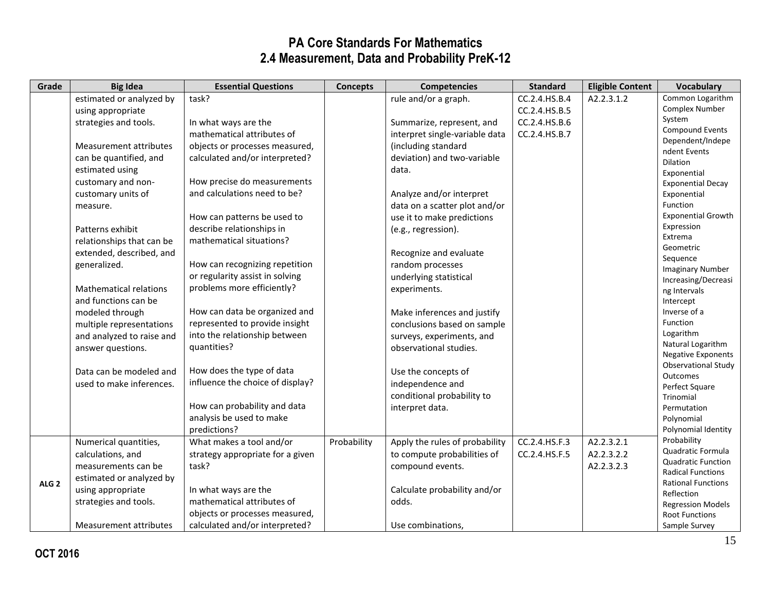| Grade            | <b>Big Idea</b>               | <b>Essential Questions</b>       | <b>Concepts</b> | <b>Competencies</b>            | <b>Standard</b> | <b>Eligible Content</b> | <b>Vocabulary</b>                              |
|------------------|-------------------------------|----------------------------------|-----------------|--------------------------------|-----------------|-------------------------|------------------------------------------------|
|                  | estimated or analyzed by      | task?                            |                 | rule and/or a graph.           | CC.2.4.HS.B.4   | A2.2.3.1.2              | Common Logarithm                               |
|                  | using appropriate             |                                  |                 |                                | CC.2.4.HS.B.5   |                         | Complex Number                                 |
|                  | strategies and tools.         | In what ways are the             |                 | Summarize, represent, and      | CC.2.4.HS.B.6   |                         | System                                         |
|                  |                               | mathematical attributes of       |                 | interpret single-variable data | CC.2.4.HS.B.7   |                         | <b>Compound Events</b>                         |
|                  | <b>Measurement attributes</b> | objects or processes measured,   |                 | (including standard            |                 |                         | Dependent/Indepe                               |
|                  | can be quantified, and        | calculated and/or interpreted?   |                 | deviation) and two-variable    |                 |                         | ndent Events                                   |
|                  | estimated using               |                                  |                 | data.                          |                 |                         | <b>Dilation</b><br>Exponential                 |
|                  | customary and non-            | How precise do measurements      |                 |                                |                 |                         | <b>Exponential Decay</b>                       |
|                  | customary units of            | and calculations need to be?     |                 | Analyze and/or interpret       |                 |                         | Exponential                                    |
|                  | measure.                      |                                  |                 | data on a scatter plot and/or  |                 |                         | Function                                       |
|                  |                               | How can patterns be used to      |                 | use it to make predictions     |                 |                         | <b>Exponential Growth</b>                      |
|                  | Patterns exhibit              | describe relationships in        |                 | (e.g., regression).            |                 |                         | Expression                                     |
|                  | relationships that can be     | mathematical situations?         |                 |                                |                 |                         | Extrema                                        |
|                  | extended, described, and      |                                  |                 | Recognize and evaluate         |                 |                         | Geometric                                      |
|                  | generalized.                  | How can recognizing repetition   |                 | random processes               |                 |                         | Sequence                                       |
|                  |                               | or regularity assist in solving  |                 |                                |                 |                         | <b>Imaginary Number</b>                        |
|                  |                               | problems more efficiently?       |                 | underlying statistical         |                 |                         | Increasing/Decreasi                            |
|                  | <b>Mathematical relations</b> |                                  |                 | experiments.                   |                 |                         | ng Intervals                                   |
|                  | and functions can be          |                                  |                 |                                |                 |                         | Intercept                                      |
|                  | modeled through               | How can data be organized and    |                 | Make inferences and justify    |                 |                         | Inverse of a<br>Function                       |
|                  | multiple representations      | represented to provide insight   |                 | conclusions based on sample    |                 |                         | Logarithm                                      |
|                  | and analyzed to raise and     | into the relationship between    |                 | surveys, experiments, and      |                 |                         | Natural Logarithm                              |
|                  | answer questions.             | quantities?                      |                 | observational studies.         |                 |                         | <b>Negative Exponents</b>                      |
|                  |                               |                                  |                 |                                |                 |                         | <b>Observational Study</b>                     |
|                  | Data can be modeled and       | How does the type of data        |                 | Use the concepts of            |                 |                         | Outcomes                                       |
|                  | used to make inferences.      | influence the choice of display? |                 | independence and               |                 |                         | Perfect Square                                 |
|                  |                               |                                  |                 | conditional probability to     |                 |                         | Trinomial                                      |
|                  |                               | How can probability and data     |                 | interpret data.                |                 |                         | Permutation                                    |
|                  |                               | analysis be used to make         |                 |                                |                 |                         | Polynomial                                     |
|                  |                               | predictions?                     |                 |                                |                 |                         | Polynomial Identity                            |
|                  | Numerical quantities,         | What makes a tool and/or         | Probability     | Apply the rules of probability | CC.2.4.HS.F.3   | A2.2.3.2.1              | Probability                                    |
| ALG <sub>2</sub> | calculations, and             | strategy appropriate for a given |                 | to compute probabilities of    | CC.2.4.HS.F.5   | A2.2.3.2.2              | Quadratic Formula<br><b>Quadratic Function</b> |
|                  | measurements can be           | task?                            |                 | compound events.               |                 | A2.2.3.2.3              | <b>Radical Functions</b>                       |
|                  | estimated or analyzed by      |                                  |                 |                                |                 |                         | <b>Rational Functions</b>                      |
|                  | using appropriate             | In what ways are the             |                 | Calculate probability and/or   |                 |                         | Reflection                                     |
|                  | strategies and tools.         | mathematical attributes of       |                 | odds.                          |                 |                         | <b>Regression Models</b>                       |
|                  |                               | objects or processes measured,   |                 |                                |                 |                         | <b>Root Functions</b>                          |
|                  | Measurement attributes        | calculated and/or interpreted?   |                 | Use combinations,              |                 |                         | Sample Survey                                  |